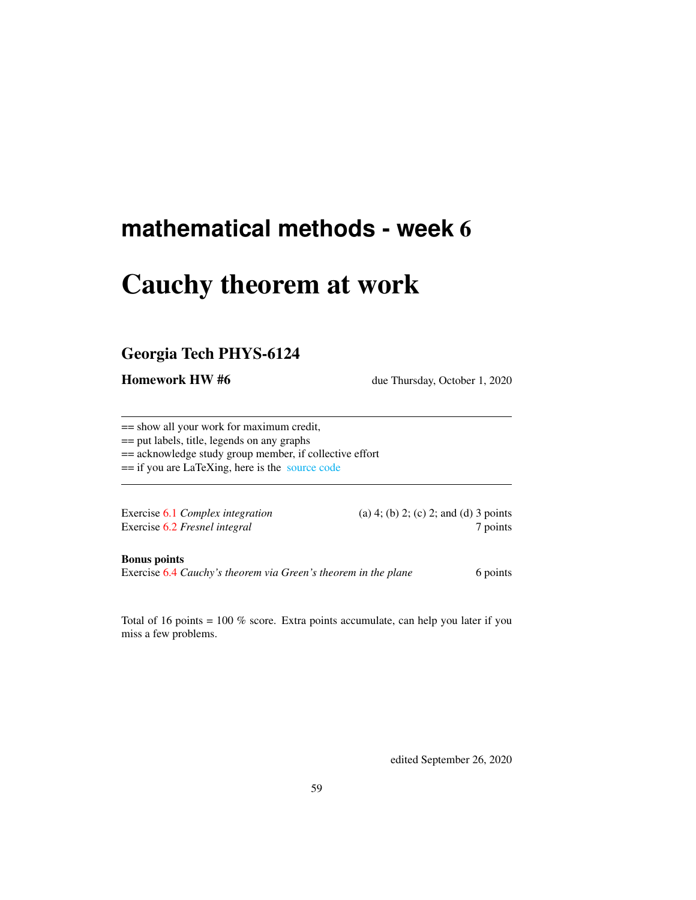# **mathematical methods - week** 6

# Cauchy theorem at work

# Georgia Tech PHYS-6124

Homework HW #6 due Thursday, October 1, 2020

== show all your work for maximum credit,

== put labels, title, legends on any graphs

== acknowledge study group member, if collective effort

== if you are LaTeXing, here is the [source code](http://chaosbook.org/~predrag/courses/PHYS-6124-20/exerWeek6.tex)

Exercise [6.2](#page-2-1) *Fresnel integral* 7 points

Exercise [6.1](#page-2-0) *Complex integration* (a) 4; (b) 2; (c) 2; and (d) 3 points

Bonus points

Exercise [6.4](#page-3-0) *Cauchy's theorem via Green's theorem in the plane* 6 points

Total of 16 points = 100 % score. Extra points accumulate, can help you later if you miss a few problems.

edited September 26, 2020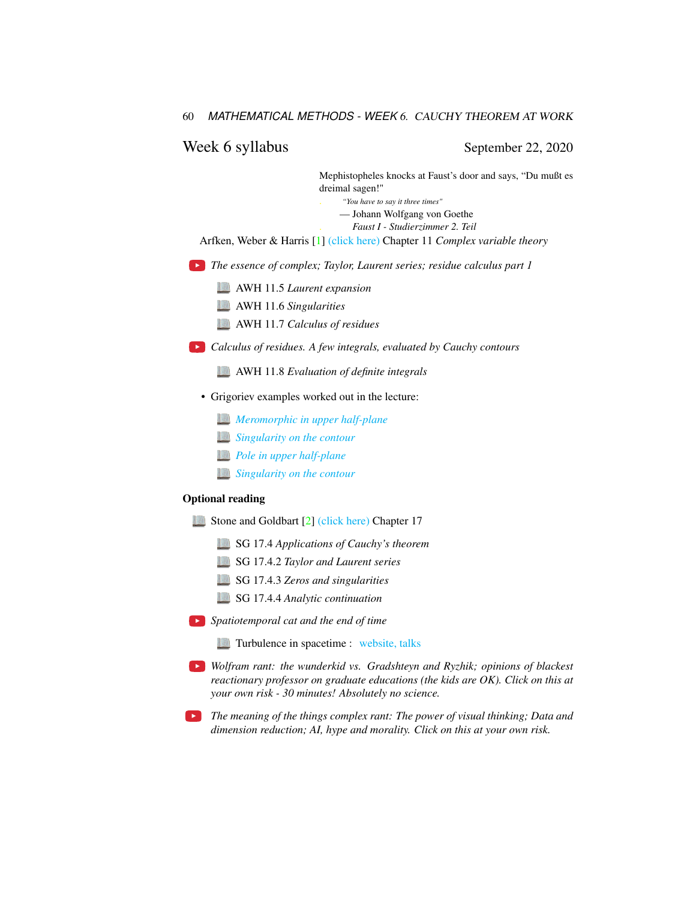### Week 6 syllabus September 22, 2020

Mephistopheles knocks at Faust's door and says, "Du mußt es dreimal sagen!" . *"You have to say it three times"* — Johann Wolfgang von Goethe . *Faust I - Studierzimmer 2. Teil* Arfken, Weber & Harris [\[1\]](#page-2-2) [\(click here\)](http://ChaosBook.org/library/ArWeHa13chap11.pdf) Chapter 11 *Complex variable theory The essence of complex; Taylor, Laurent series; residue calculus part 1* AWH 11.5 *Laurent expansion* AWH 11.6 *Singularities* AWH 11.7 *Calculus of residues Calculus of residues. A few integrals, evaluated by Cauchy contours* AWH 11.8 *Evaluation of definite integrals* • Grigoriev examples worked out in the lecture:

- *[Meromorphic in upper half-plane](http://ChaosBook.org/~predrag/courses/PHYS-6124-20/videos/week6/RGln3-4b.pdf)*
- *[Singularity on the contour](http://ChaosBook.org/~predrag/courses/PHYS-6124-20/videos/week6/RGln3-5a.pdf)*
- *[Pole in upper half-plane](http://ChaosBook.org/~predrag/courses/PHYS-6124-20/videos/week6/RGln3-5b.pdf)*
- *[Singularity on the contour](http://ChaosBook.org/~predrag/courses/PHYS-6124-20/videos/week6/RGln3-5ba.pdf)*

### Optional reading

- Stone and Goldbart [\[2\]](#page-2-3) [\(click here\)](http://ChaosBook.org/library/StGoChap17.pdf) Chapter 17
	- SG 17.4 *Applications of Cauchy's theorem*
	- SG 17.4.2 *Taylor and Laurent series*
	- SG 17.4.3 *Zeros and singularities*
	- SG 17.4.4 *Analytic continuation*
- *Spatiotemporal cat and the end of time*
	- **Turbulence in spacetime :** [website, talks](http://chaosbook.org/overheads/spatiotemporal/index.html)
- *Wolfram rant: the wunderkid vs. Gradshteyn and Ryzhik; opinions of blackest reactionary professor on graduate educations (the kids are OK). Click on this at your own risk - 30 minutes! Absolutely no science.*
- *The meaning of the things complex rant: The power of visual thinking; Data and dimension reduction; AI, hype and morality. Click on this at your own risk.*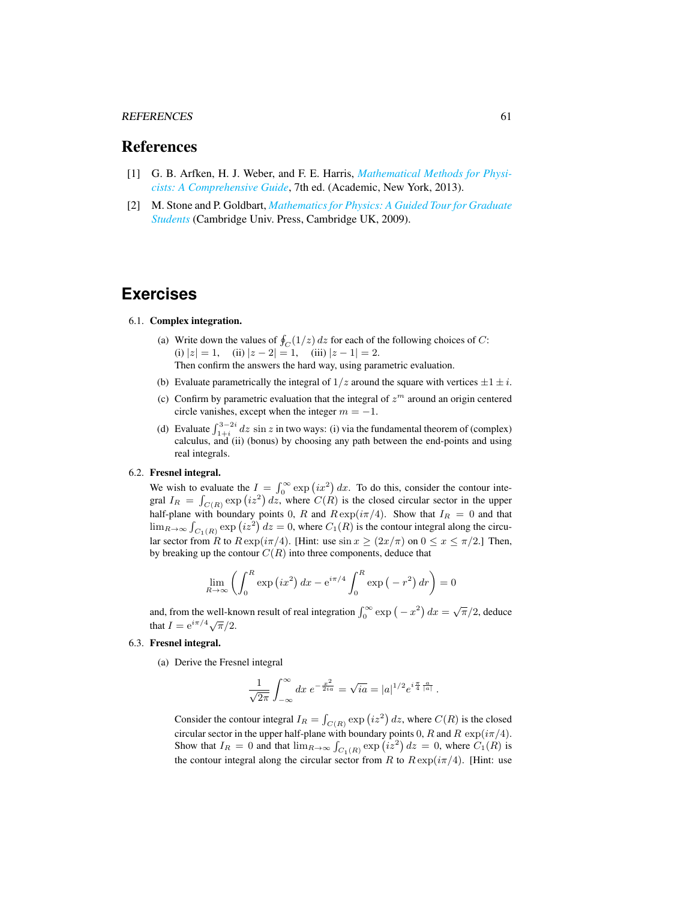#### REFERENCES 61

## References

- <span id="page-2-2"></span>[1] G. B. Arfken, H. J. Weber, and F. E. Harris, *[Mathematical Methods for Physi](http://books.google.com/books?vid=ISBN9780123846549)[cists: A Comprehensive Guide](http://books.google.com/books?vid=ISBN9780123846549)*, 7th ed. (Academic, New York, 2013).
- <span id="page-2-3"></span>[2] M. Stone and P. Goldbart, *[Mathematics for Physics: A Guided Tour for Graduate](http://dx.doi.org/10.1017/cbo9780511627040) [Students](http://dx.doi.org/10.1017/cbo9780511627040)* (Cambridge Univ. Press, Cambridge UK, 2009).

# **Exercises**

#### <span id="page-2-0"></span>6.1. Complex integration.

- (a) Write down the values of  $\oint_C (1/z) dz$  for each of the following choices of C: (i)  $|z| = 1$ , (ii)  $|z - 2| = 1$ , (iii)  $|z - 1| = 2$ . Then confirm the answers the hard way, using parametric evaluation.
- (b) Evaluate parametrically the integral of  $1/z$  around the square with vertices  $\pm 1 \pm i$ .
- (c) Confirm by parametric evaluation that the integral of  $z<sup>m</sup>$  around an origin centered circle vanishes, except when the integer  $m = -1$ .
- (d) Evaluate  $\int_{1+i}^{3-2i} dz \sin z$  in two ways: (i) via the fundamental theorem of (complex) calculus, and (ii) (bonus) by choosing any path between the end-points and using real integrals.

### <span id="page-2-1"></span>6.2. Fresnel integral.

We wish to evaluate the  $I = \int_0^\infty \exp(ix^2) dx$ . To do this, consider the contour integral  $I_R = \int_{C(R)} \exp(i z^2) dz$ , where  $C(R)$  is the closed circular sector in the upper half-plane with boundary points 0, R and  $R \exp(i\pi/4)$ . Show that  $I_R = 0$  and that  $\lim_{R\to\infty} \int_{C_1(R)} \exp(i z^2) dz = 0$ , where  $C_1(R)$  is the contour integral along the circular sector from R to  $R \exp(i\pi/4)$ . [Hint: use  $\sin x \ge (2x/\pi)$  on  $0 \le x \le \pi/2$ .] Then, by breaking up the contour  $C(R)$  into three components, deduce that

$$
\lim_{R \to \infty} \left( \int_0^R \exp\left(ix^2\right) dx - e^{i\pi/4} \int_0^R \exp\left(-r^2\right) dr \right) = 0
$$

and, from the well-known result of real integration  $\int_0^\infty \exp(-x^2) dx = \sqrt{\pi}/2$ , deduce that  $I = e^{i\pi/4}\sqrt{\pi/2}$ .

### 6.3. Fresnel integral.

(a) Derive the Fresnel integral

$$
\frac{1}{\sqrt{2\pi}}\int_{-\infty}^{\infty} dx \ e^{-\frac{x^2}{2ia}} = \sqrt{ia} = |a|^{1/2} e^{i\frac{\pi}{4} \frac{a}{|a|}}.
$$

Consider the contour integral  $I_R = \int_{C(R)} \exp(i z^2) dz$ , where  $C(R)$  is the closed circular sector in the upper half-plane with boundary points 0, R and R  $\exp(i\pi/4)$ . Show that  $I_R = 0$  and that  $\lim_{R \to \infty} \int_{C_1(R)} \exp(i z^2) dz = 0$ , where  $C_1(R)$  is the contour integral along the circular sector from R to  $R \exp(i\pi/4)$ . [Hint: use